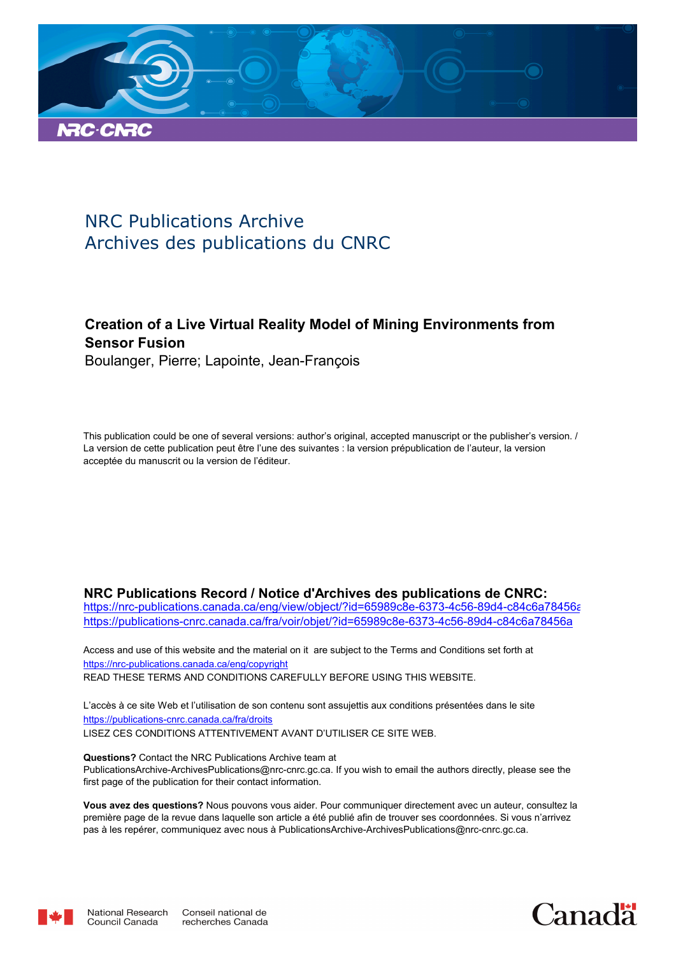

# NRC Publications Archive Archives des publications du CNRC

## **Creation of a Live Virtual Reality Model of Mining Environments from Sensor Fusion**

Boulanger, Pierre; Lapointe, Jean-François

This publication could be one of several versions: author's original, accepted manuscript or the publisher's version. / La version de cette publication peut être l'une des suivantes : la version prépublication de l'auteur, la version acceptée du manuscrit ou la version de l'éditeur.

#### **NRC Publications Record / Notice d'Archives des publications de CNRC:**

https://nrc-publications.canada.ca/eng/view/object/?id=65989c8e-6373-4c56-89d4-c84c6a78456a https://publications-cnrc.canada.ca/fra/voir/objet/?id=65989c8e-6373-4c56-89d4-c84c6a78456a

READ THESE TERMS AND CONDITIONS CAREFULLY BEFORE USING THIS WEBSITE. https://nrc-publications.canada.ca/eng/copyright Access and use of this website and the material on it are subject to the Terms and Conditions set forth at

https://publications-cnrc.canada.ca/fra/droits L'accès à ce site Web et l'utilisation de son contenu sont assujettis aux conditions présentées dans le site LISEZ CES CONDITIONS ATTENTIVEMENT AVANT D'UTILISER CE SITE WEB.

**Questions?** Contact the NRC Publications Archive team at PublicationsArchive-ArchivesPublications@nrc-cnrc.gc.ca. If you wish to email the authors directly, please see the first page of the publication for their contact information.

**Vous avez des questions?** Nous pouvons vous aider. Pour communiquer directement avec un auteur, consultez la première page de la revue dans laquelle son article a été publié afin de trouver ses coordonnées. Si vous n'arrivez pas à les repérer, communiquez avec nous à PublicationsArchive-ArchivesPublications@nrc-cnrc.gc.ca.



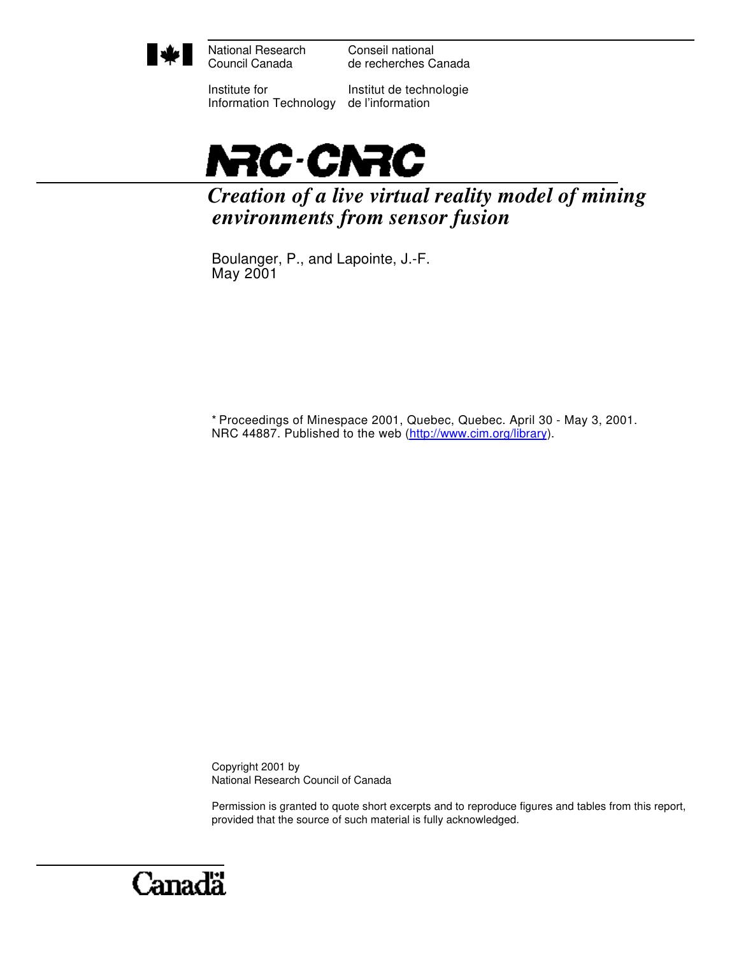

National Research Council Canada

Conseil national de recherches Canada

Institute for Information Technology

Institut de technologie de l'information



*Creation of a live virtual reality model of mining environments from sensor fusion*

Boulanger, P., and Lapointe, J.-F. May 2001

\* Proceedings of Minespace 2001, Quebec, Quebec. April 30 - May 3, 2001. NRC 44887. Published to the web (http://www.cim.org/library).

Copyright 2001 by National Research Council of Canada

Permission is granted to quote short excerpts and to reproduce figures and tables from this report, provided that the source of such material is fully acknowledged.

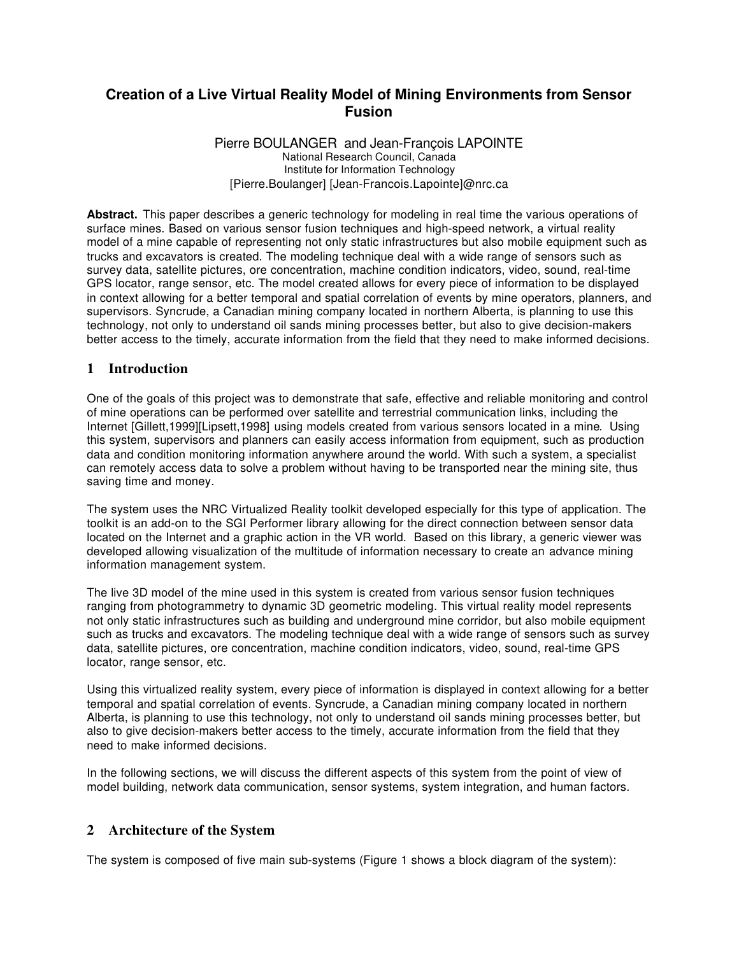## **Creation of a Live Virtual Reality Model of Mining Environments from Sensor Fusion**

#### Pierre BOULANGER and Jean-François LAPOINTE National Research Council, Canada Institute for Information Technology [Pierre.Boulanger] [Jean-Francois.Lapointe]@nrc.ca

**Abstract.** This paper describes a generic technology for modeling in real time the various operations of surface mines. Based on various sensor fusion techniques and high-speed network, a virtual reality model of a mine capable of representing not only static infrastructures but also mobile equipment such as trucks and excavators is created. The modeling technique deal with a wide range of sensors such as survey data, satellite pictures, ore concentration, machine condition indicators, video, sound, real-time GPS locator, range sensor, etc. The model created allows for every piece of information to be displayed in context allowing for a better temporal and spatial correlation of events by mine operators, planners, and supervisors. Syncrude, a Canadian mining company located in northern Alberta, is planning to use this technology, not only to understand oil sands mining processes better, but also to give decision-makers better access to the timely, accurate information from the field that they need to make informed decisions.

## **1 Introduction**

One of the goals of this project was to demonstrate that safe, effective and reliable monitoring and control of mine operations can be performed over satellite and terrestrial communication links, including the Internet [Gillett,1999][Lipsett,1998] using models created from various sensors located in a mine. Using this system, supervisors and planners can easily access information from equipment, such as production data and condition monitoring information anywhere around the world. With such a system, a specialist can remotely access data to solve a problem without having to be transported near the mining site, thus saving time and money.

The system uses the NRC Virtualized Reality toolkit developed especially for this type of application. The toolkit is an add-on to the SGI Performer library allowing for the direct connection between sensor data located on the Internet and a graphic action in the VR world. Based on this library, a generic viewer was developed allowing visualization of the multitude of information necessary to create an advance mining information management system.

The live 3D model of the mine used in this system is created from various sensor fusion techniques ranging from photogrammetry to dynamic 3D geometric modeling. This virtual reality model represents not only static infrastructures such as building and underground mine corridor, but also mobile equipment such as trucks and excavators. The modeling technique deal with a wide range of sensors such as survey data, satellite pictures, ore concentration, machine condition indicators, video, sound, real-time GPS locator, range sensor, etc.

Using this virtualized reality system, every piece of information is displayed in context allowing for a better temporal and spatial correlation of events. Syncrude, a Canadian mining company located in northern Alberta, is planning to use this technology, not only to understand oil sands mining processes better, but also to give decision-makers better access to the timely, accurate information from the field that they need to make informed decisions.

In the following sections, we will discuss the different aspects of this system from the point of view of model building, network data communication, sensor systems, system integration, and human factors.

## **2 Architecture of the System**

The system is composed of five main sub-systems (Figure 1 shows a block diagram of the system):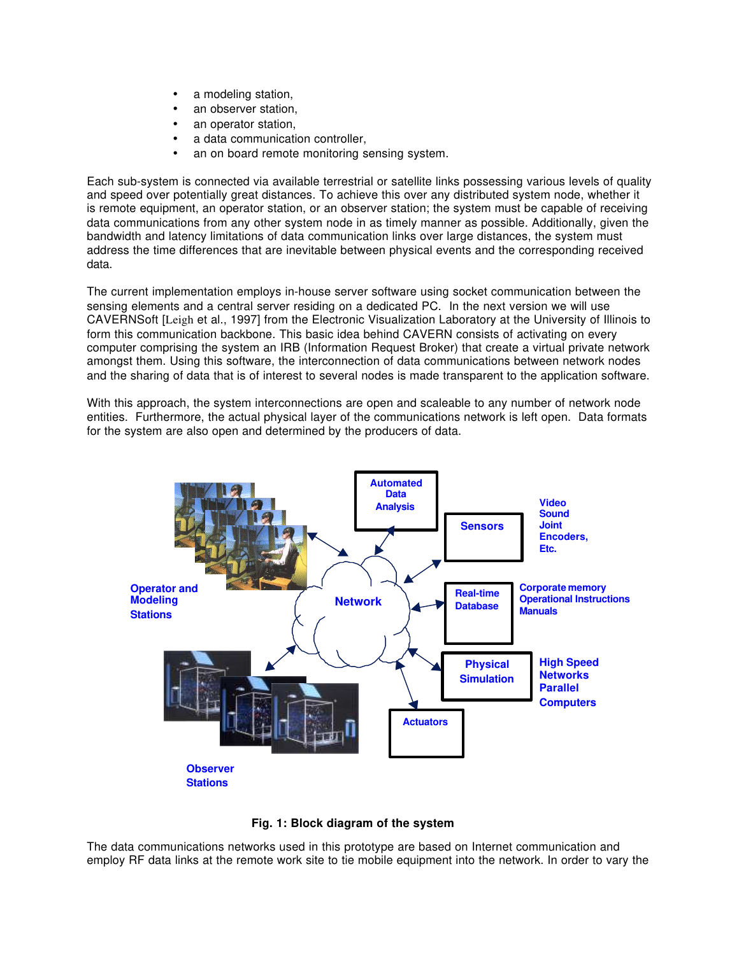- a modeling station,
- an observer station.
- an operator station.
- a data communication controller,
- an on board remote monitoring sensing system.

Each sub-system is connected via available terrestrial or satellite links possessing various levels of quality and speed over potentially great distances. To achieve this over any distributed system node, whether it is remote equipment, an operator station, or an observer station; the system must be capable of receiving data communications from any other system node in as timely manner as possible. Additionally, given the bandwidth and latency limitations of data communication links over large distances, the system must address the time differences that are inevitable between physical events and the corresponding received data.

The current implementation employs in-house server software using socket communication between the sensing elements and a central server residing on a dedicated PC. In the next version we will use CAVERNSoft [Leigh et al., 1997] from the Electronic Visualization Laboratory at the University of Illinois to form this communication backbone. This basic idea behind CAVERN consists of activating on every computer comprising the system an IRB (Information Request Broker) that create a virtual private network amongst them. Using this software, the interconnection of data communications between network nodes and the sharing of data that is of interest to several nodes is made transparent to the application software.

With this approach, the system interconnections are open and scaleable to any number of network node entities. Furthermore, the actual physical layer of the communications network is left open. Data formats for the system are also open and determined by the producers of data.



**Fig. 1: Block diagram of the system**

The data communications networks used in this prototype are based on Internet communication and employ RF data links at the remote work site to tie mobile equipment into the network. In order to vary the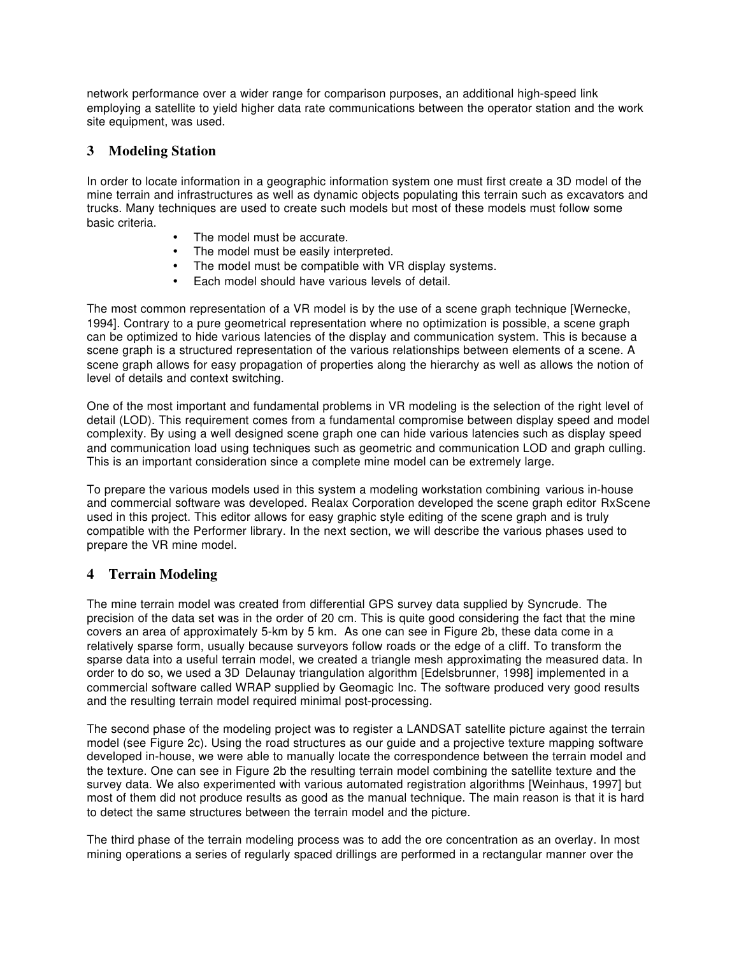network performance over a wider range for comparison purposes, an additional high-speed link employing a satellite to yield higher data rate communications between the operator station and the work site equipment, was used.

#### **3 Modeling Station**

In order to locate information in a geographic information system one must first create a 3D model of the mine terrain and infrastructures as well as dynamic objects populating this terrain such as excavators and trucks. Many techniques are used to create such models but most of these models must follow some basic criteria.

- The model must be accurate.
- The model must be easily interpreted.
- The model must be compatible with VR display systems.
- Each model should have various levels of detail.

The most common representation of a VR model is by the use of a scene graph technique [Wernecke, 1994]. Contrary to a pure geometrical representation where no optimization is possible, a scene graph can be optimized to hide various latencies of the display and communication system. This is because a scene graph is a structured representation of the various relationships between elements of a scene. A scene graph allows for easy propagation of properties along the hierarchy as well as allows the notion of level of details and context switching.

One of the most important and fundamental problems in VR modeling is the selection of the right level of detail (LOD). This requirement comes from a fundamental compromise between display speed and model complexity. By using a well designed scene graph one can hide various latencies such as display speed and communication load using techniques such as geometric and communication LOD and graph culling. This is an important consideration since a complete mine model can be extremely large.

To prepare the various models used in this system a modeling workstation combining various in-house and commercial software was developed. Realax Corporation developed the scene graph editor RxScene used in this project. This editor allows for easy graphic style editing of the scene graph and is truly compatible with the Performer library. In the next section, we will describe the various phases used to prepare the VR mine model.

## **4 Terrain Modeling**

The mine terrain model was created from differential GPS survey data supplied by Syncrude. The precision of the data set was in the order of 20 cm. This is quite good considering the fact that the mine covers an area of approximately 5-km by 5 km. As one can see in Figure 2b, these data come in a relatively sparse form, usually because surveyors follow roads or the edge of a cliff. To transform the sparse data into a useful terrain model, we created a triangle mesh approximating the measured data. In order to do so, we used a 3D Delaunay triangulation algorithm [Edelsbrunner, 1998] implemented in a commercial software called WRAP supplied by Geomagic Inc. The software produced very good results and the resulting terrain model required minimal post-processing.

The second phase of the modeling project was to register a LANDSAT satellite picture against the terrain model (see Figure 2c). Using the road structures as our guide and a projective texture mapping software developed in-house, we were able to manually locate the correspondence between the terrain model and the texture. One can see in Figure 2b the resulting terrain model combining the satellite texture and the survey data. We also experimented with various automated registration algorithms [Weinhaus, 1997] but most of them did not produce results as good as the manual technique. The main reason is that it is hard to detect the same structures between the terrain model and the picture.

The third phase of the terrain modeling process was to add the ore concentration as an overlay. In most mining operations a series of regularly spaced drillings are performed in a rectangular manner over the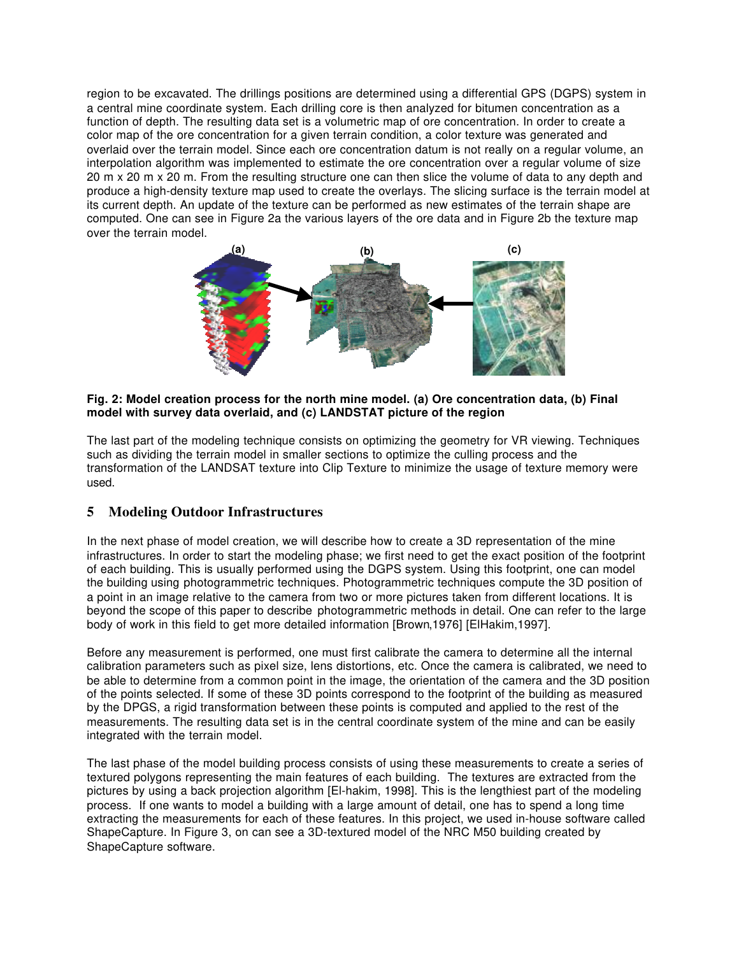region to be excavated. The drillings positions are determined using a differential GPS (DGPS) system in a central mine coordinate system. Each drilling core is then analyzed for bitumen concentration as a function of depth. The resulting data set is a volumetric map of ore concentration. In order to create a color map of the ore concentration for a given terrain condition, a color texture was generated and overlaid over the terrain model. Since each ore concentration datum is not really on a regular volume, an interpolation algorithm was implemented to estimate the ore concentration over a regular volume of size 20 m x 20 m x 20 m. From the resulting structure one can then slice the volume of data to any depth and produce a high-density texture map used to create the overlays. The slicing surface is the terrain model at its current depth. An update of the texture can be performed as new estimates of the terrain shape are computed. One can see in Figure 2a the various layers of the ore data and in Figure 2b the texture map over the terrain model.



#### **Fig. 2: Model creation process for the north mine model. (a) Ore concentration data, (b) Final model with survey data overlaid, and (c) LANDSTAT picture of the region**

The last part of the modeling technique consists on optimizing the geometry for VR viewing. Techniques such as dividing the terrain model in smaller sections to optimize the culling process and the transformation of the LANDSAT texture into Clip Texture to minimize the usage of texture memory were used.

## **5 Modeling Outdoor Infrastructures**

In the next phase of model creation, we will describe how to create a 3D representation of the mine infrastructures. In order to start the modeling phase; we first need to get the exact position of the footprint of each building. This is usually performed using the DGPS system. Using this footprint, one can model the building using photogrammetric techniques. Photogrammetric techniques compute the 3D position of a point in an image relative to the camera from two or more pictures taken from different locations. It is beyond the scope of this paper to describe photogrammetric methods in detail. One can refer to the large body of work in this field to get more detailed information [Brown,1976] [ElHakim,1997].

Before any measurement is performed, one must first calibrate the camera to determine all the internal calibration parameters such as pixel size, lens distortions, etc. Once the camera is calibrated, we need to be able to determine from a common point in the image, the orientation of the camera and the 3D position of the points selected. If some of these 3D points correspond to the footprint of the building as measured by the DPGS, a rigid transformation between these points is computed and applied to the rest of the measurements. The resulting data set is in the central coordinate system of the mine and can be easily integrated with the terrain model.

The last phase of the model building process consists of using these measurements to create a series of textured polygons representing the main features of each building. The textures are extracted from the pictures by using a back projection algorithm [El-hakim, 1998]. This is the lengthiest part of the modeling process. If one wants to model a building with a large amount of detail, one has to spend a long time extracting the measurements for each of these features. In this project, we used in-house software called ShapeCapture. In Figure 3, on can see a 3D-textured model of the NRC M50 building created by ShapeCapture software.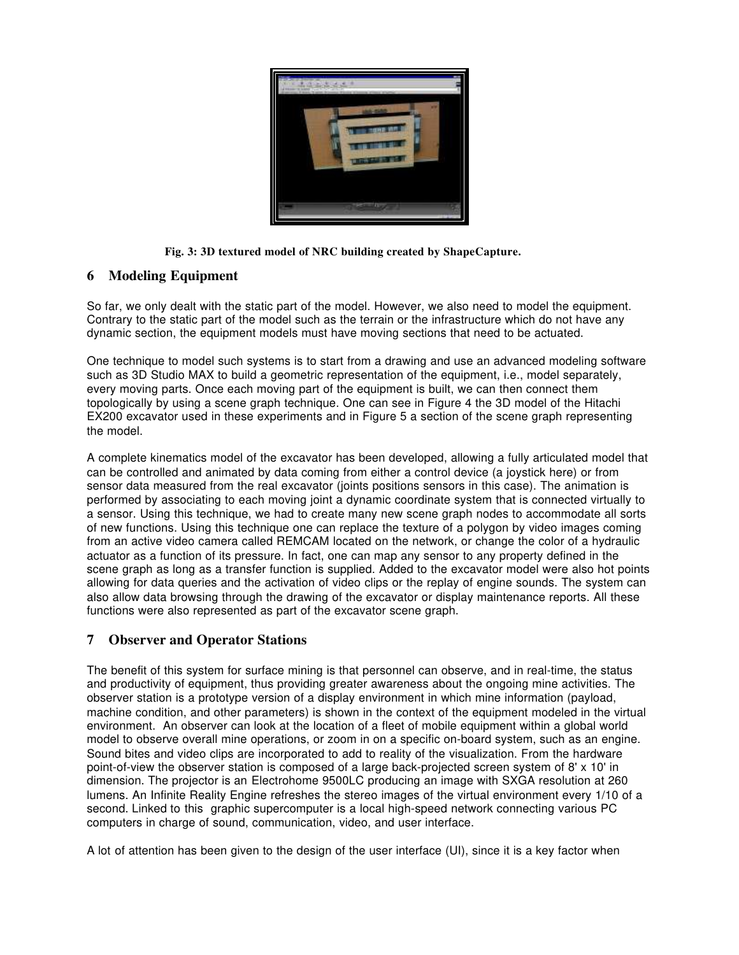

#### **Fig. 3: 3D textured model of NRC building created by ShapeCapture.**

#### **6 Modeling Equipment**

So far, we only dealt with the static part of the model. However, we also need to model the equipment. Contrary to the static part of the model such as the terrain or the infrastructure which do not have any dynamic section, the equipment models must have moving sections that need to be actuated.

One technique to model such systems is to start from a drawing and use an advanced modeling software such as 3D Studio MAX to build a geometric representation of the equipment, i.e., model separately, every moving parts. Once each moving part of the equipment is built, we can then connect them topologically by using a scene graph technique. One can see in Figure 4 the 3D model of the Hitachi EX200 excavator used in these experiments and in Figure 5 a section of the scene graph representing the model.

A complete kinematics model of the excavator has been developed, allowing a fully articulated model that can be controlled and animated by data coming from either a control device (a joystick here) or from sensor data measured from the real excavator (joints positions sensors in this case). The animation is performed by associating to each moving joint a dynamic coordinate system that is connected virtually to a sensor. Using this technique, we had to create many new scene graph nodes to accommodate all sorts of new functions. Using this technique one can replace the texture of a polygon by video images coming from an active video camera called REMCAM located on the network, or change the color of a hydraulic actuator as a function of its pressure. In fact, one can map any sensor to any property defined in the scene graph as long as a transfer function is supplied. Added to the excavator model were also hot points allowing for data queries and the activation of video clips or the replay of engine sounds. The system can also allow data browsing through the drawing of the excavator or display maintenance reports. All these functions were also represented as part of the excavator scene graph.

## **7 Observer and Operator Stations**

The benefit of this system for surface mining is that personnel can observe, and in real-time, the status and productivity of equipment, thus providing greater awareness about the ongoing mine activities. The observer station is a prototype version of a display environment in which mine information (payload, machine condition, and other parameters) is shown in the context of the equipment modeled in the virtual environment. An observer can look at the location of a fleet of mobile equipment within a global world model to observe overall mine operations, or zoom in on a specific on-board system, such as an engine. Sound bites and video clips are incorporated to add to reality of the visualization. From the hardware point-of-view the observer station is composed of a large back-projected screen system of 8' x 10' in dimension. The projector is an Electrohome 9500LC producing an image with SXGA resolution at 260 lumens. An Infinite Reality Engine refreshes the stereo images of the virtual environment every 1/10 of a second. Linked to this graphic supercomputer is a local high-speed network connecting various PC computers in charge of sound, communication, video, and user interface.

A lot of attention has been given to the design of the user interface (UI), since it is a key factor when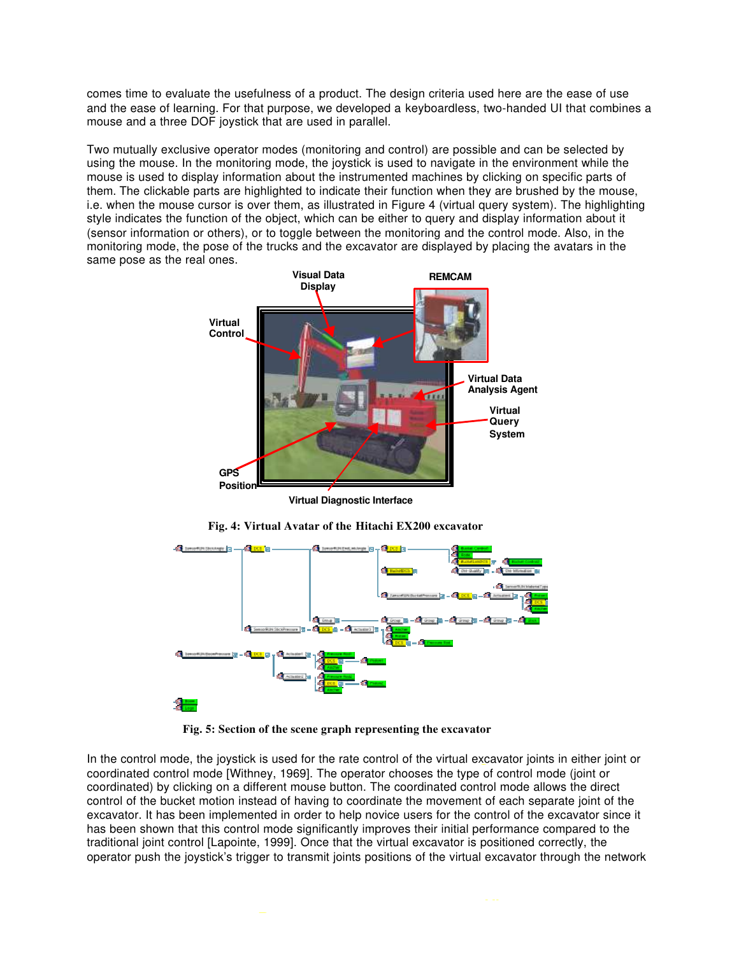comes time to evaluate the usefulness of a product. The design criteria used here are the ease of use and the ease of learning. For that purpose, we developed a keyboardless, two-handed UI that combines a mouse and a three DOF joystick that are used in parallel.

Two mutually exclusive operator modes (monitoring and control) are possible and can be selected by using the mouse. In the monitoring mode, the joystick is used to navigate in the environment while the mouse is used to display information about the instrumented machines by clicking on specific parts of them. The clickable parts are highlighted to indicate their function when they are brushed by the mouse, i.e. when the mouse cursor is over them, as illustrated in Figure 4 (virtual query system). The highlighting style indicates the function of the object, which can be either to query and display information about it (sensor information or others), or to toggle between the monitoring and the control mode. Also, in the monitoring mode, the pose of the trucks and the excavator are displayed by placing the avatars in the same pose as the real ones.



**Virtual Diagnostic Interface**



**Fig. 4: Virtual Avatar of the Hitachi EX200 excavator**

**Fig. 5: Section of the scene graph representing the excavator**

In the control mode, the joystick is used for the rate control of the virtual excavator joints in either joint or coordinated control mode [Withney, 1969]. The operator chooses the type of control mode (joint or **Sate** coordinated) by clicking on a different mouse button. The coordinated control mode allows the direct **Infrast** control of the bucket motion instead of having to coordinate the movement of each separate joint of the **O** excavator. It has been implemented in order to help novice users for the control of the excavator since it has been shown that this control mode significantly improves their initial performance compared to the traditional joint control [Lapointe, 1999]. Once that the virtual excavator is positioned correctly, the operator push the joystick's trigger to transmit joints positions of the virtual excavator through the network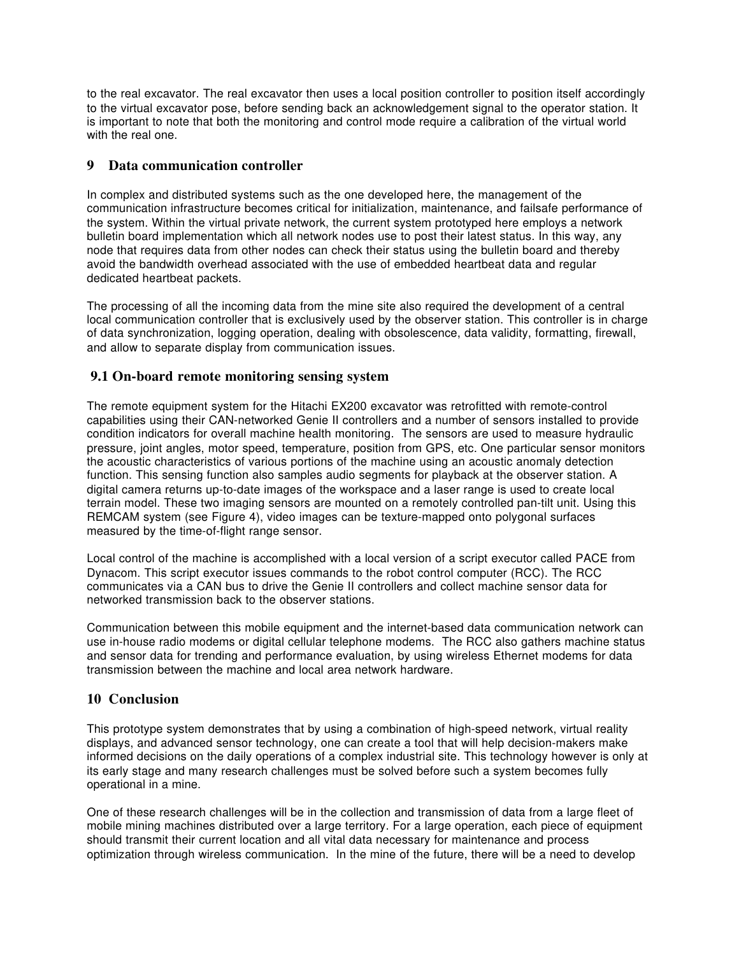to the real excavator. The real excavator then uses a local position controller to position itself accordingly to the virtual excavator pose, before sending back an acknowledgement signal to the operator station. It is important to note that both the monitoring and control mode require a calibration of the virtual world with the real one.

## **9 Data communication controller**

In complex and distributed systems such as the one developed here, the management of the communication infrastructure becomes critical for initialization, maintenance, and failsafe performance of the system. Within the virtual private network, the current system prototyped here employs a network bulletin board implementation which all network nodes use to post their latest status. In this way, any node that requires data from other nodes can check their status using the bulletin board and thereby avoid the bandwidth overhead associated with the use of embedded heartbeat data and regular dedicated heartbeat packets.

The processing of all the incoming data from the mine site also required the development of a central local communication controller that is exclusively used by the observer station. This controller is in charge of data synchronization, logging operation, dealing with obsolescence, data validity, formatting, firewall, and allow to separate display from communication issues.

## **9.1 On-board remote monitoring sensing system**

The remote equipment system for the Hitachi EX200 excavator was retrofitted with remote-control capabilities using their CAN-networked Genie II controllers and a number of sensors installed to provide condition indicators for overall machine health monitoring. The sensors are used to measure hydraulic pressure, joint angles, motor speed, temperature, position from GPS, etc. One particular sensor monitors the acoustic characteristics of various portions of the machine using an acoustic anomaly detection function. This sensing function also samples audio segments for playback at the observer station. A digital camera returns up-to-date images of the workspace and a laser range is used to create local terrain model. These two imaging sensors are mounted on a remotely controlled pan-tilt unit. Using this REMCAM system (see Figure 4), video images can be texture-mapped onto polygonal surfaces measured by the time-of-flight range sensor.

Local control of the machine is accomplished with a local version of a script executor called PACE from Dynacom. This script executor issues commands to the robot control computer (RCC). The RCC communicates via a CAN bus to drive the Genie II controllers and collect machine sensor data for networked transmission back to the observer stations.

Communication between this mobile equipment and the internet-based data communication network can use in-house radio modems or digital cellular telephone modems. The RCC also gathers machine status and sensor data for trending and performance evaluation, by using wireless Ethernet modems for data transmission between the machine and local area network hardware.

## **10 Conclusion**

This prototype system demonstrates that by using a combination of high-speed network, virtual reality displays, and advanced sensor technology, one can create a tool that will help decision-makers make informed decisions on the daily operations of a complex industrial site. This technology however is only at its early stage and many research challenges must be solved before such a system becomes fully operational in a mine.

One of these research challenges will be in the collection and transmission of data from a large fleet of mobile mining machines distributed over a large territory. For a large operation, each piece of equipment should transmit their current location and all vital data necessary for maintenance and process optimization through wireless communication. In the mine of the future, there will be a need to develop